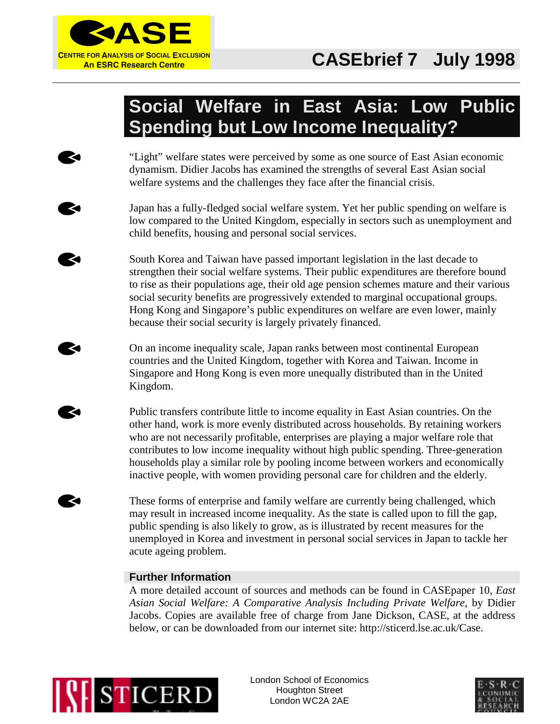

# **Social Welfare in East Asia: Low Public Spending but Low Income Inequality?**

"Light" welfare states were perceived by some as one source of East Asian economic dynamism. Didier Jacobs has examined the strengths of several East Asian social welfare systems and the challenges they face after the financial crisis.

Japan has a fully-fledged social welfare system. Yet her public spending on welfare is low compared to the United Kingdom, especially in sectors such as unemployment and child benefits, housing and personal social services.

South Korea and Taiwan have passed important legislation in the last decade to strengthen their social welfare systems. Their public expenditures are therefore bound to rise as their populations age, their old age pension schemes mature and their various social security benefits are progressively extended to marginal occupational groups. Hong Kong and Singapore's public expenditures on welfare are even lower, mainly because their social security is largely privately financed.

On an income inequality scale, Japan ranks between most continental European countries and the United Kingdom, together with Korea and Taiwan. Income in Singapore and Hong Kong is even more unequally distributed than in the United Kingdom.

Public transfers contribute little to income equality in East Asian countries. On the other hand, work is more evenly distributed across households. By retaining workers who are not necessarily profitable, enterprises are playing a major welfare role that contributes to low income inequality without high public spending. Three-generation households play a similar role by pooling income between workers and economically inactive people, with women providing personal care for children and the elderly.

These forms of enterprise and family welfare are currently being challenged, which may result in increased income inequality. As the state is called upon to fill the gap, public spending is also likely to grow, as is illustrated by recent measures for the unemployed in Korea and investment in personal social services in Japan to tackle her acute ageing problem.

## **Further Information**

A more detailed account of sources and methods can be found in CASEpaper 10, *East Asian Social Welfare: A Comparative Analysis Including Private Welfare*, by Didier Jacobs. Copies are available free of charge from Jane Dickson, CASE, at the address below, or can be downloaded from our internet site: http://sticerd.lse.ac.uk/Case.



K

London School of Economics Houghton Street London WC2A 2AE

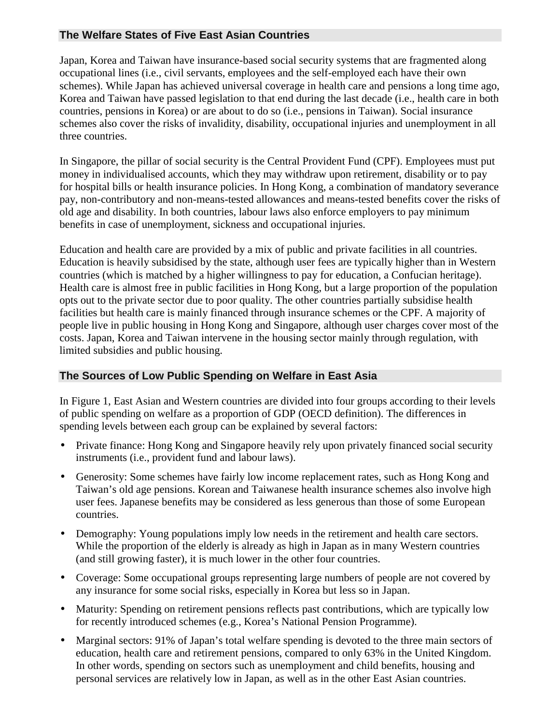## **The Welfare States of Five East Asian Countries**

Japan, Korea and Taiwan have insurance-based social security systems that are fragmented along occupational lines (i.e., civil servants, employees and the self-employed each have their own schemes). While Japan has achieved universal coverage in health care and pensions a long time ago, Korea and Taiwan have passed legislation to that end during the last decade (i.e., health care in both countries, pensions in Korea) or are about to do so (i.e., pensions in Taiwan). Social insurance schemes also cover the risks of invalidity, disability, occupational injuries and unemployment in all three countries.

In Singapore, the pillar of social security is the Central Provident Fund (CPF). Employees must put money in individualised accounts, which they may withdraw upon retirement, disability or to pay for hospital bills or health insurance policies. In Hong Kong, a combination of mandatory severance pay, non-contributory and non-means-tested allowances and means-tested benefits cover the risks of old age and disability. In both countries, labour laws also enforce employers to pay minimum benefits in case of unemployment, sickness and occupational injuries.

Education and health care are provided by a mix of public and private facilities in all countries. Education is heavily subsidised by the state, although user fees are typically higher than in Western countries (which is matched by a higher willingness to pay for education, a Confucian heritage). Health care is almost free in public facilities in Hong Kong, but a large proportion of the population opts out to the private sector due to poor quality. The other countries partially subsidise health facilities but health care is mainly financed through insurance schemes or the CPF. A majority of people live in public housing in Hong Kong and Singapore, although user charges cover most of the costs. Japan, Korea and Taiwan intervene in the housing sector mainly through regulation, with limited subsidies and public housing.

### **The Sources of Low Public Spending on Welfare in East Asia**

In Figure 1, East Asian and Western countries are divided into four groups according to their levels of public spending on welfare as a proportion of GDP (OECD definition). The differences in spending levels between each group can be explained by several factors:

- Private finance: Hong Kong and Singapore heavily rely upon privately financed social security instruments (i.e., provident fund and labour laws).
- Generosity: Some schemes have fairly low income replacement rates, such as Hong Kong and Taiwan's old age pensions. Korean and Taiwanese health insurance schemes also involve high user fees. Japanese benefits may be considered as less generous than those of some European countries.
- Demography: Young populations imply low needs in the retirement and health care sectors. While the proportion of the elderly is already as high in Japan as in many Western countries (and still growing faster), it is much lower in the other four countries.
- Coverage: Some occupational groups representing large numbers of people are not covered by any insurance for some social risks, especially in Korea but less so in Japan.
- Maturity: Spending on retirement pensions reflects past contributions, which are typically low for recently introduced schemes (e.g., Korea's National Pension Programme).
- Marginal sectors: 91% of Japan's total welfare spending is devoted to the three main sectors of education, health care and retirement pensions, compared to only 63% in the United Kingdom. In other words, spending on sectors such as unemployment and child benefits, housing and personal services are relatively low in Japan, as well as in the other East Asian countries.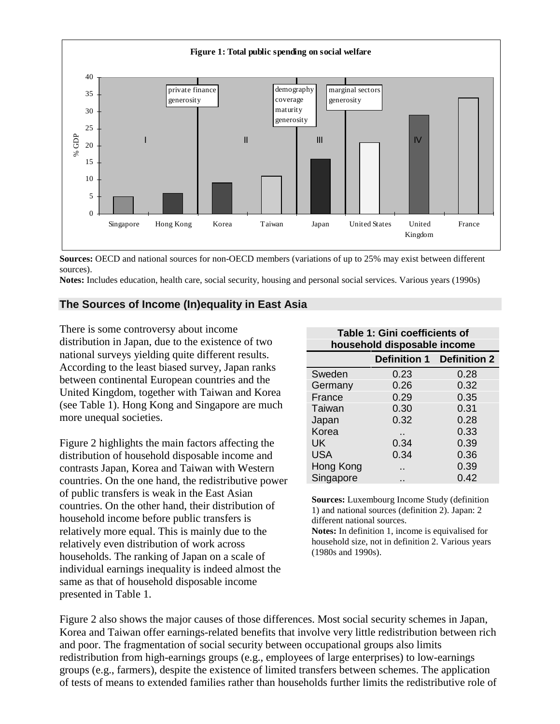

**Sources:** OECD and national sources for non-OECD members (variations of up to 25% may exist between different sources).

**Notes:** Includes education, health care, social security, housing and personal social services. Various years (1990s)

#### **The Sources of Income (In)equality in East Asia**

There is some controversy about income distribution in Japan, due to the existence of two national surveys yielding quite different results. According to the least biased survey, Japan ranks between continental European countries and the United Kingdom, together with Taiwan and Korea (see Table 1). Hong Kong and Singapore are much more unequal societies.

Figure 2 highlights the main factors affecting the distribution of household disposable income and contrasts Japan, Korea and Taiwan with Western countries. On the one hand, the redistributive power of public transfers is weak in the East Asian countries. On the other hand, their distribution of household income before public transfers is relatively more equal. This is mainly due to the relatively even distribution of work across households. The ranking of Japan on a scale of individual earnings inequality is indeed almost the same as that of household disposable income presented in Table 1.

| household disposable income |                     |                     |
|-----------------------------|---------------------|---------------------|
|                             | <b>Definition 1</b> | <b>Definition 2</b> |
| Sweden                      | 0.23                | 0.28                |
| Germany                     | 0.26                | 0.32                |
| France                      | 0.29                | 0.35                |
| Taiwan                      | 0.30                | 0.31                |
| Japan                       | 0.32                | 0.28                |
| Korea                       | . .                 | 0.33                |
| UK                          | 0.34                | 0.39                |
| <b>USA</b>                  | 0.34                | 0.36                |
| Hong Kong                   |                     | 0.39                |
| Singapore                   |                     | 0.42                |

**Table 1: Gini coefficients of**

**Sources:** Luxembourg Income Study (definition 1) and national sources (definition 2). Japan: 2 different national sources.

**Notes:** In definition 1, income is equivalised for household size, not in definition 2. Various years (1980s and 1990s).

Figure 2 also shows the major causes of those differences. Most social security schemes in Japan, Korea and Taiwan offer earnings-related benefits that involve very little redistribution between rich and poor. The fragmentation of social security between occupational groups also limits redistribution from high-earnings groups (e.g., employees of large enterprises) to low-earnings groups (e.g., farmers), despite the existence of limited transfers between schemes. The application of tests of means to extended families rather than households further limits the redistributive role of